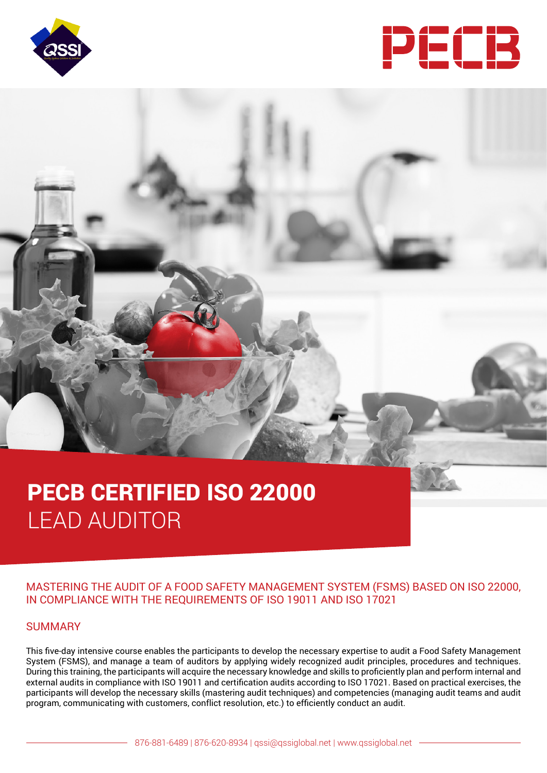



# PECB CERTIFIED ISO 22000 LEAD AUDITOR

# MASTERING THE AUDIT OF A FOOD SAFETY MANAGEMENT SYSTEM (FSMS) BASED ON ISO 22000, IN COMPLIANCE WITH THE REQUIREMENTS OF ISO 19011 AND ISO 17021

#### SUMMARY

This five-day intensive course enables the participants to develop the necessary expertise to audit a Food Safety Management System (FSMS), and manage a team of auditors by applying widely recognized audit principles, procedures and techniques. During this training, the participants will acquire the necessary knowledge and skills to proficiently plan and perform internal and external audits in compliance with ISO 19011 and certification audits according to ISO 17021. Based on practical exercises, the participants will develop the necessary skills (mastering audit techniques) and competencies (managing audit teams and audit program, communicating with customers, conflict resolution, etc.) to efficiently conduct an audit.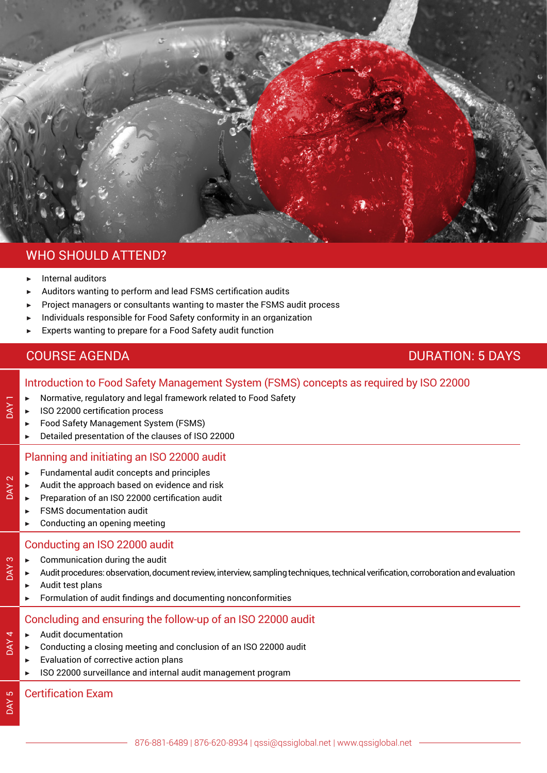

# WHO SHOULD ATTEND?

Internal auditors

DAY 1

DAY<sub>2</sub>

DAY 3

DAY 4

DAY<sub>5</sub>

- Auditors wanting to perform and lead FSMS certification audits
- Project managers or consultants wanting to master the FSMS audit process
- Individuals responsible for Food Safety conformity in an organization
	- Experts wanting to prepare for a Food Safety audit function

# **COURSE AGENDA** DURATION: 5 DAYS

# Introduction to Food Safety Management System (FSMS) concepts as required by ISO 22000

- ▶ Normative, regulatory and legal framework related to Food Safety
- **ISO 22000 certification process**
- ▶ Food Safety Management System (FSMS)
- ▶ Detailed presentation of the clauses of ISO 22000

# Planning and initiating an ISO 22000 audit

- ▶ Fundamental audit concepts and principles
- Audit the approach based on evidence and risk
- ▶ Preparation of an ISO 22000 certification audit
- ▶ FSMS documentation audit
- $\blacktriangleright$  Conducting an opening meeting

# Conducting an ISO 22000 audit

- Communication during the audit
- ▶ Audit procedures: observation, document review, interview, sampling techniques, technical verification, corroboration and evaluation
- Audit test plans
- ▶ Formulation of audit findings and documenting nonconformities

# Concluding and ensuring the follow-up of an ISO 22000 audit

- ▶ Audit documentation
- Conducting a closing meeting and conclusion of an ISO 22000 audit
	- $\blacktriangleright$  Evaluation of corrective action plans
	- ISO 22000 surveillance and internal audit management program

# Certification Exam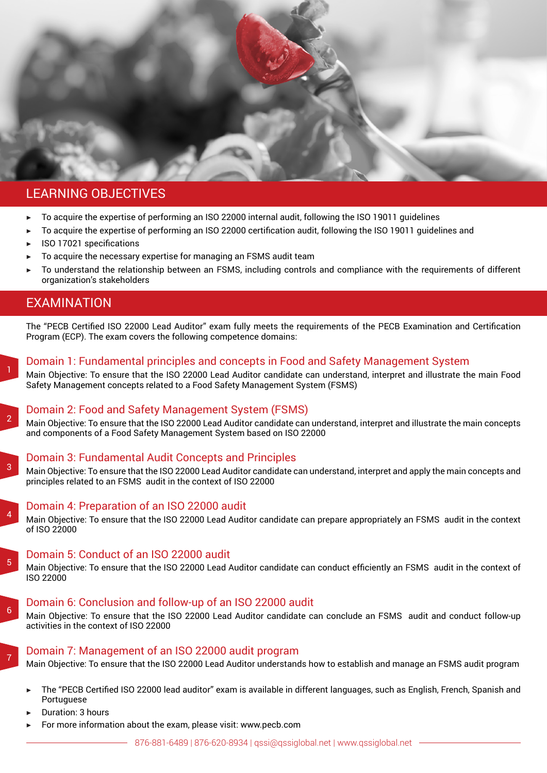

# LEARNING OBJECTIVES

- To acquire the expertise of performing an ISO 22000 internal audit, following the ISO 19011 quidelines
- ▶ To acquire the expertise of performing an ISO 22000 certification audit, following the ISO 19011 guidelines and
- ▶ ISO 17021 specifications
- To acquire the necessary expertise for managing an FSMS audit team
- To understand the relationship between an FSMS, including controls and compliance with the requirements of different organization's stakeholders

# EXAMINATION

The "PECB Certified ISO 22000 Lead Auditor" exam fully meets the requirements of the PECB Examination and Certification Program (ECP). The exam covers the following competence domains:



# Domain 1: Fundamental principles and concepts in Food and Safety Management System

Main Objective: To ensure that the ISO 22000 Lead Auditor candidate can understand, interpret and illustrate the main Food Safety Management concepts related to a Food Safety Management System (FSMS)



3

#### Domain 2: Food and Safety Management System (FSMS)

Main Objective: To ensure that the ISO 22000 Lead Auditor candidate can understand, interpret and illustrate the main concepts and components of a Food Safety Management System based on ISO 22000

# Domain 3: Fundamental Audit Concepts and Principles

Main Objective: To ensure that the ISO 22000 Lead Auditor candidate can understand, interpret and apply the main concepts and principles related to an FSMS audit in the context of ISO 22000



5

6

7

#### Domain 4: Preparation of an ISO 22000 audit

Main Objective: To ensure that the ISO 22000 Lead Auditor candidate can prepare appropriately an FSMS audit in the context of ISO 22000

# Domain 5: Conduct of an ISO 22000 audit

Main Objective: To ensure that the ISO 22000 Lead Auditor candidate can conduct efficiently an FSMS audit in the context of ISO 22000

# Domain 6: Conclusion and follow-up of an ISO 22000 audit

Main Objective: To ensure that the ISO 22000 Lead Auditor candidate can conclude an FSMS audit and conduct follow-up activities in the context of ISO 22000

#### Domain 7: Management of an ISO 22000 audit program

Main Objective: To ensure that the ISO 22000 Lead Auditor understands how to establish and manage an FSMS audit program

- The "PECB Certified ISO 22000 lead auditor" exam is available in different languages, such as English, French, Spanish and Portuguese
- Duration: 3 hours
- For more information about the exam, please visit: www.pecb.com